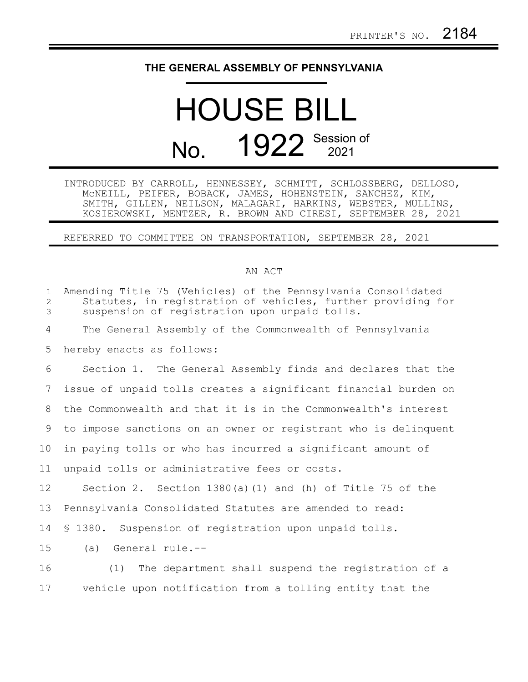## **THE GENERAL ASSEMBLY OF PENNSYLVANIA**

## HOUSE BILL No. 1922 Session of  $2021$

INTRODUCED BY CARROLL, HENNESSEY, SCHMITT, SCHLOSSBERG, DELLOSO, McNEILL, PEIFER, BOBACK, JAMES, HOHENSTEIN, SANCHEZ, KIM, SMITH, GILLEN, NEILSON, MALAGARI, HARKINS, WEBSTER, MULLINS, KOSIEROWSKI, MENTZER, R. BROWN AND CIRESI, SEPTEMBER 28, 2021

REFERRED TO COMMITTEE ON TRANSPORTATION, SEPTEMBER 28, 2021

## AN ACT

| $\mathbf{1}$<br>$\overline{2}$<br>3 | Amending Title 75 (Vehicles) of the Pennsylvania Consolidated<br>Statutes, in registration of vehicles, further providing for<br>suspension of registration upon unpaid tolls. |
|-------------------------------------|--------------------------------------------------------------------------------------------------------------------------------------------------------------------------------|
| $\overline{4}$                      | The General Assembly of the Commonwealth of Pennsylvania                                                                                                                       |
| 5                                   | hereby enacts as follows:                                                                                                                                                      |
| 6                                   | Section 1. The General Assembly finds and declares that the                                                                                                                    |
| 7                                   | issue of unpaid tolls creates a significant financial burden on                                                                                                                |
| 8                                   | the Commonwealth and that it is in the Commonwealth's interest                                                                                                                 |
| 9                                   | to impose sanctions on an owner or registrant who is delinquent                                                                                                                |
| 10                                  | in paying tolls or who has incurred a significant amount of                                                                                                                    |
| 11                                  | unpaid tolls or administrative fees or costs.                                                                                                                                  |
| 12                                  | Section 2. Section $1380(a) (1)$ and (h) of Title 75 of the                                                                                                                    |
| 13                                  | Pennsylvania Consolidated Statutes are amended to read:                                                                                                                        |
| 14                                  | \$ 1380. Suspension of registration upon unpaid tolls.                                                                                                                         |
| 15                                  | (a) General rule.--                                                                                                                                                            |
| 16                                  | (1) The department shall suspend the registration of a                                                                                                                         |
| 17                                  | vehicle upon notification from a tolling entity that the                                                                                                                       |